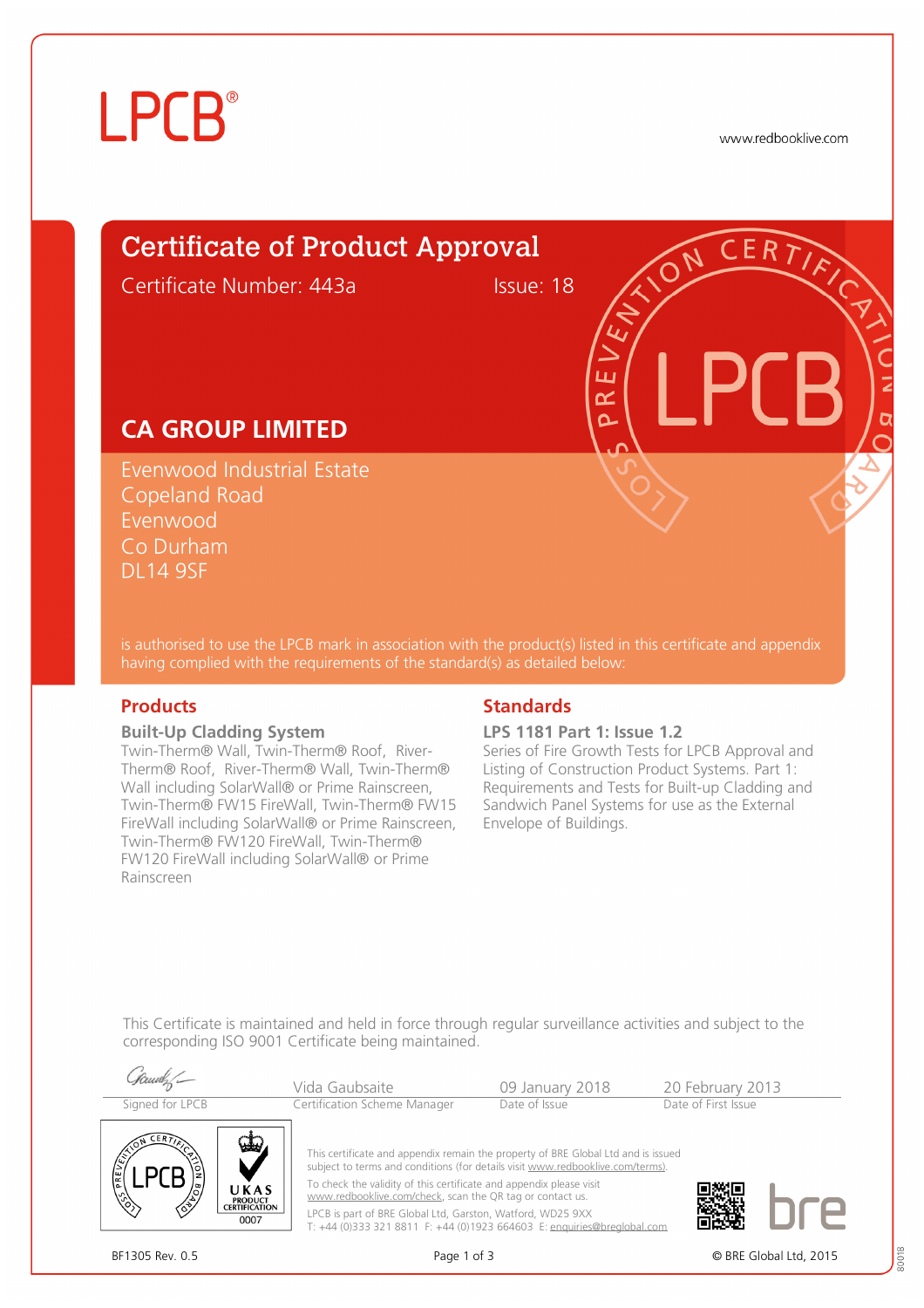# **LPCB**®

www.redbooklive.com

# Certificate of Product Approval

Certificate Number: 443a Issue: 18

## **CA GROUP LIMITED**

Evenwood Industrial Estate Copeland Road Evenwood Co Durham DL14 9SF

is authorised to use the LPCB mark in association with the product(s) listed in this certificate and appendix having complied with the requirements of the standard(s) as detailed below:

### **Built-Up Cladding System**

Twin-Therm® Wall, Twin-Therm® Roof, River-Therm® Roof, River-Therm® Wall, Twin-Therm® Wall including SolarWall® or Prime Rainscreen, Twin-Therm® FW15 FireWall, Twin-Therm® FW15 FireWall including SolarWall® or Prime Rainscreen, Twin-Therm® FW120 FireWall, Twin-Therm® FW120 FireWall including SolarWall® or Prime Rainscreen

## **Products Standards**

### **LPS 1181 Part 1: Issue 1.2**

ய طح Ò

Series of Fire Growth Tests for LPCB Approval and Listing of Construction Product Systems. Part 1: Requirements and Tests for Built-up Cladding and Sandwich Panel Systems for use as the External Envelope of Buildings.

This Certificate is maintained and held in force through regular surveillance activities and subject to the corresponding ISO 9001 Certificate being maintained.

| Signed for LPCB                                                                 | Vida Gaubsaite<br>Certification Scheme Manager                                                                                                                                                                                                                                                                                                                                                                                                   | 09 January 2018<br>Date of Issue | 20 February 2013<br>Date of First Issue |  |
|---------------------------------------------------------------------------------|--------------------------------------------------------------------------------------------------------------------------------------------------------------------------------------------------------------------------------------------------------------------------------------------------------------------------------------------------------------------------------------------------------------------------------------------------|----------------------------------|-----------------------------------------|--|
| CERT<br>UKAS<br>$\sqrt[6]{2}$<br><b>PRODUCT<br/>CERTIFICATION</b><br>∕ॐ<br>0007 | This certificate and appendix remain the property of BRE Global Ltd and is issued<br>subject to terms and conditions (for details visit www.redbooklive.com/terms).<br>To check the validity of this certificate and appendix please visit<br>www.redbooklive.com/check, scan the QR tag or contact us.<br>LPCB is part of BRE Global Ltd, Garston, Watford, WD25 9XX<br>T: +44 (0)333 321 8811 F: +44 (0)1923 664603 E: enquiries@brealobal.com |                                  |                                         |  |





BF1305 Rev. 0.5 **Page 1 of 3** Page 1 of 3 **Page 1 of 3** © BRE Global Ltd. 2015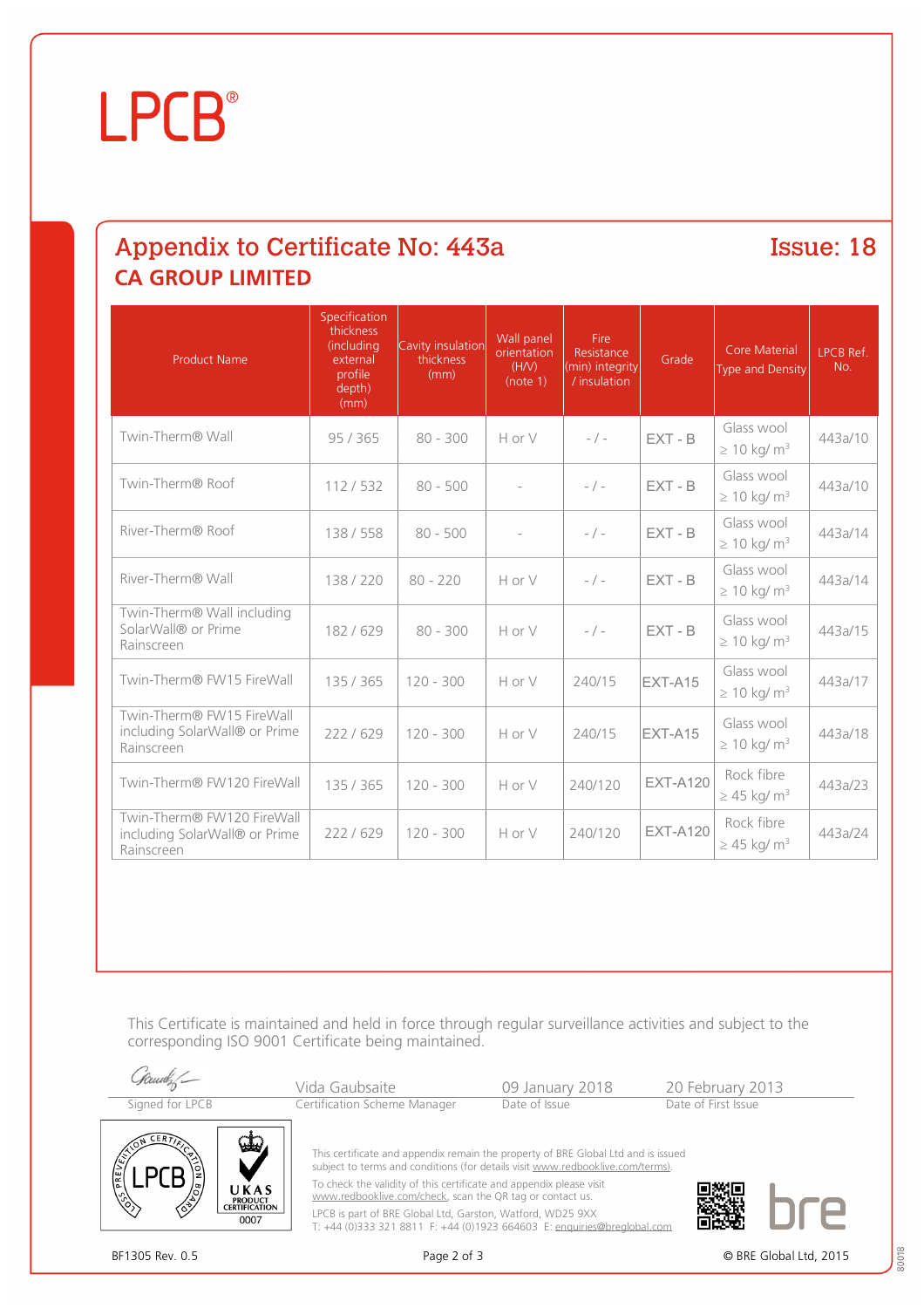# **LPCB**®

## Appendix to Certificate No: 443a **Issue: 18 CA GROUP LIMITED**

| <b>Product Name</b>                                                       | Specification<br>thickness<br>(including<br>external<br>profile<br>depth)<br>(mm) | Cavity insulation<br>thickness<br>(mm) | Wall panel<br>orientation<br>(HN)<br>(note 1) | Fire<br>Resistance<br>(min) integrity<br>/ insulation | Grade           | <b>Core Material</b><br><b>Type and Density</b> | <b>LPCB Ref.</b><br>No. |
|---------------------------------------------------------------------------|-----------------------------------------------------------------------------------|----------------------------------------|-----------------------------------------------|-------------------------------------------------------|-----------------|-------------------------------------------------|-------------------------|
| Twin-Therm® Wall                                                          | 95/365                                                                            | $80 - 300$                             | Hor V                                         | $-$ / $-$                                             | $EXT - B$       | Glass wool<br>$\geq 10$ kg/ m <sup>3</sup>      | 443a/10                 |
| Twin-Therm® Roof                                                          | 112/532                                                                           | $80 - 500$                             |                                               | $-$ / $-$                                             | $EXT - B$       | Glass wool<br>$\geq 10$ kg/ m <sup>3</sup>      | 443a/10                 |
| River-Therm® Roof                                                         | 138 / 558                                                                         | $80 - 500$                             |                                               | $-$ / $-$                                             | $EXT - B$       | Glass wool<br>$\geq 10$ kg/ m <sup>3</sup>      | 443a/14                 |
| River-Therm® Wall                                                         | 138/220                                                                           | $80 - 220$                             | HorV                                          | $-$ / $-$                                             | $EXT - B$       | Glass wool<br>$\geq 10$ kg/ m <sup>3</sup>      | 443a/14                 |
| Twin-Therm® Wall including<br>SolarWall® or Prime<br>Rainscreen           | 182 / 629                                                                         | $80 - 300$                             | H or V                                        | $-$ / $-$                                             | $EXT - B$       | Glass wool<br>$\geq 10$ kg/ m <sup>3</sup>      | 443a/15                 |
| Twin-Therm® FW15 FireWall                                                 | 135 / 365                                                                         | $120 - 300$                            | H or V                                        | 240/15                                                | EXT-A15         | Glass wool<br>$\geq 10$ kg/ m <sup>3</sup>      | 443a/17                 |
| Twin-Therm® FW15 FireWall<br>including SolarWall® or Prime<br>Rainscreen  | 222/629                                                                           | $120 - 300$                            | H or V                                        | 240/15                                                | EXT-A15         | Glass wool<br>$\geq 10$ kg/ m <sup>3</sup>      | 443a/18                 |
| Twin-Therm® FW120 FireWall                                                | 135 / 365                                                                         | $120 - 300$                            | H or V                                        | 240/120                                               | <b>EXT-A120</b> | Rock fibre<br>$\geq$ 45 kg/ m <sup>3</sup>      | 443a/23                 |
| Twin-Therm® FW120 FireWall<br>including SolarWall® or Prime<br>Rainscreen | 222/629                                                                           | $120 - 300$                            | H or V                                        | 240/120                                               | <b>EXT-A120</b> | Rock fibre<br>$\geq$ 45 kg/ m <sup>3</sup>      | 443a/24                 |

This Certificate is maintained and held in force through regular surveillance activities and subject to the corresponding ISO 9001 Certificate being maintained.



80018